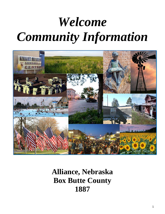# *Welcome Community Information*



**Alliance, Nebraska Box Butte County 1887**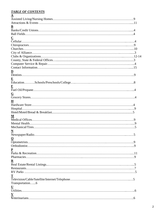# *TABLE OF CONTENTS*

| $\underline{\mathbf{C}}$ |
|--------------------------|
|                          |
|                          |
|                          |
|                          |
|                          |
|                          |
|                          |
|                          |
|                          |
|                          |
|                          |
|                          |
|                          |
|                          |
|                          |
| <u>G</u>                 |
|                          |
| $\bf H$                  |
|                          |
|                          |
|                          |
| M                        |
|                          |
|                          |
|                          |
|                          |
| .5                       |
| $\mathbf 0$              |
|                          |
|                          |
|                          |
|                          |
|                          |
|                          |
| $\mathbf R$              |
|                          |
|                          |
|                          |
|                          |
|                          |
| Transportation6          |
| $\overline{\mathbf{U}}$  |
|                          |
| $\mathbf{V}$             |
|                          |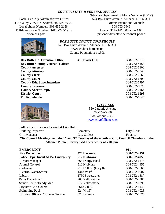# *COUNTY, STATE & FEDERAL OFFICES*

Social Security Administrative Offices 415 Valley View Dr., Scottsbluff, NE 69361 Local phone Number: 308-635-2158 Toll-Free Phone Number: 1-800-772-1213 www.ssa.gov

Nebraska Department of Motor Vehicles (DMV) 524 Box Butte Avenue, Alliance, NE 69301 Drivers Exams and Manuals 308-763-2949 Hours: TH – FR 9:00 am – 4:00 pmwww.dmv.state.ne.us/mail-phone

# *BOX BUTTE COUNTY COURTHOUSE*

520 Box Butte Avenue, Alliance, NE 69301 www.co.box-butte.ne.us County Population: 11,308

**Box Butte Co. Extension Office 415 Black Hills** 308-762-5616 **Box Butte County Veteran's Office** 308-762-4154 **County Assessor** 308-762-6100 **County Attorney** 308-762-8346 **County Clerk** 308-762-6565 **County Court** 308-762-6800 **County Rds. Superintendent** 308-762-6797 **County Treasurer** 308-762-6975 **County Sheriff Dept.** 308-762-6464 **District Court** 308-762-6293 **Public Defender** 308-762-6644



# *CITY HALL*

320 Laramie Avenue 308-762-5400 *Population: 8,491* [www.cityofalliance.net](http://www.cityofalliance.net/)

| <b>Following offices are located at City Hall:</b>                                                                      |                     |            |  |
|-------------------------------------------------------------------------------------------------------------------------|---------------------|------------|--|
| Building Inspector                                                                                                      | Cemetery            | City Clerk |  |
| City Manager                                                                                                            | <b>City Offices</b> | Finance    |  |
| City Council Meetings held the 1 <sup>st</sup> and 3 <sup>rd</sup> Tuesday of the month at City Council Chambers in the |                     |            |  |
| Alliance Public Library 1750 Sweetwater at 7:00 pm                                                                      |                     |            |  |

| <b>EMERGENCY</b>           |                                        |                        | 911          |
|----------------------------|----------------------------------------|------------------------|--------------|
| <b>Fire Department</b>     |                                        | 320 Laramie            | 308-762-2151 |
|                            | <b>Police Department NON-Emergency</b> | 512 Niobrara           | 308-762-4955 |
| <b>Airport Manager</b>     |                                        | 5631 Sarpy Road        | 308-762-6413 |
| Animal Control             |                                        | 512 Niobrara           | 308-762-4955 |
| Carhenge                   |                                        | 2151 CR 59 (Hwy 87)    | 308-762-3569 |
| Electric/Water/Sewer       |                                        | 1313 W $1^{st}$        | 308-762-1907 |
| Library                    |                                        | 1750 Sweetwater        | 308-762-1387 |
| Parks Department           |                                        | 908 Yellowstone        | 308-762-2384 |
| Senior Center/Handy Man    |                                        | 212 Yellowstone        | 308-762-1293 |
| <b>Skyview Golf Course</b> |                                        | 2613 CR 57             | 308-762-1446 |
| <b>Swimming Pool</b>       |                                        | 224 W $16^{\text{th}}$ | 308-762-4028 |
|                            | Utilities Office - Customer Service    | 320 Laramie            | 308-762-5075 |

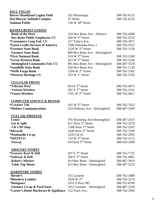# *BALL FIELDS*

**Bower-Shankland Legion Field** 101 Mississippi 308-762-6135 **Hal Murray Softball Complex**  $4^{\text{th}}$  Street 308-762-6135 **Sudman Fields** 136 W 18<sup>th</sup> Street

# *BANKS/CREDIT UNIONS*

**Bank of the West** 224 Box Butte Ave - Alliance 308-762-4400<br> **Box Butte Public Employees CU** 504 W 3<sup>rd</sup> Street 308-762-4725 **Box Butte Public Employees CU** 504 W 3<sup>rd</sup> Street 308-762-4725 \*Consumers Coop Fed. CU 217 Toluca Ave 308-762-1871 **\*Farm Credit Services of America** 2390 Nebraska Hwy 2 308-762-5025 **\*Farmers State Bank** 1320 W 3rd Street 308-761-1150 **Farmers State Bank** 809 Box Butte Ave - Hemingford<br> **First National Bank** 124 W 3<sup>rd</sup> Street **\*First National Bank** 124 W 3<sup>rd</sup> Street 308-762-2300<br> **\*Great Western Bank** 423 W 3<sup>rd</sup> Street 308-762-2160 **\*Great Western Bank** 423 W 3rd Street 308-762-2160 **Hemingford Community Fed. CU** 801 Box Butte Ave - Hemingford 308-487-5578 **\*Sandhills State Bank** 420 Box Butte Ave 308-761-1120<br> **\*Wells Fargo Bank** 1204 W 3<sup>rd</sup> Street 308-762-5302 **\*Wells Fargo Bank** 1204 W 3<sup>rd</sup> Street 308-762-5302<br> **\*Western Heritage CU** 103 W 1<sup>st</sup> Street 308-762-5702 **\*Western Heritage CU** 103 W 1<sup>st</sup> Street 308-762-5702

# *CELLULAR PHONE*

| *Telecom West           | $814 \mathrm{E}$ 3 <sup>rd</sup> Street | 308-762-4072 |
|-------------------------|-----------------------------------------|--------------|
| <b>Verizon Wireless</b> | 301 E $3^{rd}$ Street                   | 308-762-2101 |
| *Viaero Wireless        | 1321 W $3rd$ Street                     | 308-762-4811 |
|                         |                                         |              |

# *COMPUTER SERVICE & REPAIR*

| *Creative Tek                 | $202 \text{ W } 3^{\text{rd}}$ Street | 308-762-7622 |
|-------------------------------|---------------------------------------|--------------|
| <b>*Mobius Communications</b> | 523 Niobrara Ave - Hemingford         | 308-487-5500 |

# *FUEL OIL/PROPANE*

| <b>Cenex</b>            | 705 Wyoming Ave-Hemingford   | 308-487-3337 |
|-------------------------|------------------------------|--------------|
| Get & Split             | 611 West 3rd Street          | 308-762-3578 |
| J & J Pit Stop          | 1308 West $3rd$ Street       | 308-762-5247 |
| *Maverik                | 1640 West 3rd Street         | 308-762-1109 |
| <i>*Panhandle Co-op</i> | 2220 CR 61                   | 308-762-2955 |
| *WESTCO                 | 724 W 3 <sup>rd</sup> Street | 308-762-3112 |
| Yesway                  | 610 East $3rd$ Street        | 308-629-1400 |
|                         |                              |              |

# *GROCERY STORES*

**\*Grocery Kart & Deli** 207 E 3<sup>rd</sup> Street 308-762-7725<br> **\*Safeway & Deli** 500 E 3<sup>rd</sup> Street 308-762-4661 **\*Safeway & Deli** 500 E 3<sup>rd</sup> Street 308-762-4661 **Raben's Market** 814 Box Butte - Hemingford 308-487-3819 **Table Top Meats** 815 Box Butte - Hemingford 308-487-5232

# *HARDWARE STORES*

| <b>Bernie's</b>                                               | 315 Laramie                     | 308-762-3488 |
|---------------------------------------------------------------|---------------------------------|--------------|
| *Bloedorn Lumber                                              | $1020 \text{ W } 3^{\text{rd}}$ | 308-762-3274 |
| <b>*Bomgaars</b>                                              | 2452 S Hwy 385                  | 308-762-8700 |
| <b>Farmers Co-op &amp; Feed Store</b>                         | 1012 Laramie – Hemingford       | 308-487-3318 |
| <b>*Carter's Home Hardware &amp; Appliance</b> 312 Flack Ave. |                                 | 308-762-2595 |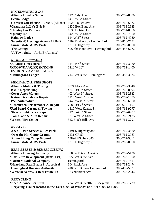| <b>HOTEL/MOTEL/B &amp; B</b>                           |                                 |              |
|--------------------------------------------------------|---------------------------------|--------------|
| <b>Alliance Hotel &amp; Suites</b>                     | 117 Cody Ave                    | 308-762-8000 |
| <b>Econo Lodge</b>                                     | 1419 W 3rd Street               |              |
| Go West Guesthouse - AirBnB (Alliance) 1023 Toluca Ave |                                 | 308-760-5072 |
| *Grandma LaLa's B & B                                  | 1232 Box Butte Ave              | 308-762-2925 |
| *Holiday Inn Express                                   | 1630 Holsten Dr.                | 308-761-0970 |
| *Quality Inn                                           | 1420 W $3rd$ Street             | 308-762-7600 |
| <b>Rainbow Lodge</b>                                   | 614 W 3rd Street                | 308-762-4980 |
| <b>Serenity @ Heritage Acres - AirBnB</b>              | 7102 Dodge Rd - Hemingford      | 713-818-7782 |
| <b>Sunset Motel &amp; RV Park</b>                      | 1210 E Highway 2                | 308-762-8660 |
| <b>The Cottage</b>                                     | 405 Shoshone Ave - Hemingford   | 308-487-5272 |
| <b>UpTown Suite</b> – AirBnB (Alliance)                |                                 |              |
| <b>NEWSPAPER/RADIO</b>                                 |                                 |              |
| *Alliance Times Herald                                 | 1140 E $4th$ Street             | 308-762-3060 |
| *KCOW/KAAQ/KQSK/KCNB                                   | 1210 W 10 <sup>th</sup>         | 308-762-1400 |
| FM 105.9 or AM 1400/FM 92.5                            |                                 |              |
| *Hemingford Ledger                                     | 714 Box Butte - Hemingford      | 308-487-3334 |
| <b>MECHANICAL/TIRE SHOPS</b>                           |                                 |              |
| <b>Alliance Motors &amp; Towing</b>                    | 1024 Flack Ave                  | 308-762-3840 |
| <b>B &amp; S Repair Shop</b>                           | 424 East 3rd Street             | 308-760-8394 |
| *Cover Jones Motors                                    | 403 West 3rd Street             | 308-762-2343 |
| <b>Kaiser Tire Sales &amp; Repair</b>                  | 1115 West 3rd Street            | 308-762-1689 |
| <b>PST</b> Automotive                                  | 1440 West 3rd Street            | 308-762-6600 |
| <b>*Rasmussen Performance &amp; Repair</b>             | 758 East 7 <sup>th</sup> Street | 308-629-1107 |
| <b>*Red Beard Garage &amp; Towing</b>                  | 1319 West Kansas St.            | 308-763-9277 |
| <b>Steve's Light Truck Repair</b>                      | 917 East 3rd Street             | 308-762-6707 |
| Tom Cycle & Auto Repair                                | 927 West 3rd Street             | 308-762-2475 |
| *Westco Tire Center                                    | 312 Black Hills Ave             | 308-762-3291 |
| <b>RV PARKS</b>                                        |                                 |              |
| J & C Lawn Service & RV Park                           | 2491 S Highway 385              | 308-762-3860 |
| Over the Hill Camp Ground                              | 2131 CR 59                      | 308-762-3763 |
| <b>Rhino Lining Camp Ground</b>                        | 13896 US Hwy 385                | 308-762-9361 |
| <b>Sunset Motel &amp; RV Park</b>                      | 1210 E Highway 2                | 308-762-8660 |
| <b>REAL ESTATE &amp; RENTAL LISTING</b>                |                                 |              |
| <b>Alliance Housing Authority</b>                      | 300 So Potash Ave #27           | 308-762-5130 |
| <i><b>*Box Butte Development (Rental List)</b></i>     | 305 Box Butte Ave               | 308-762-1800 |
| <b>*Farmers National Company</b>                       | Hemingford                      | 308-760-7851 |
| *Heartland Real Estate & Appraisal                     | 604 Flack Ave                   | 308-762-2474 |
| <b>Hemingford Housing Authority</b>                    | 410 Box Butte - Hemingford      | 308-487-5322 |
| *Western Nebraska Real Estate, PC                      | 323 Niobrara Ave                | 308-762-2244 |
| RECYCLING                                              |                                 |              |
|                                                        |                                 |              |

**\*Keep Alliance Beautiful** 224 Box Butte/107 ½ Cheyenne 308-762-1729 **Recycling Trailer located in the 1300 block of West 3rd and 700 block of Flack**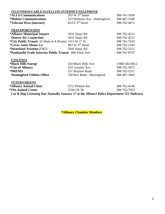# *TELEVISION/CABLE/SATELLITE/INTERNET/TELEPHONE*

| *ALLO Communications                                                      | $203 \text{ W } 3^{\text{rd}}$ Street   | 308-761-5050                                                                                                                                                                                                                                                                                                                                                                         |
|---------------------------------------------------------------------------|-----------------------------------------|--------------------------------------------------------------------------------------------------------------------------------------------------------------------------------------------------------------------------------------------------------------------------------------------------------------------------------------------------------------------------------------|
| <i><b>*Mobius Communications</b></i>                                      | 523 Niobrara Ave - Hemingford           | 308-487-5500                                                                                                                                                                                                                                                                                                                                                                         |
| <i>*</i> Telecom West (internet)                                          | $814 \mathrm{E}$ 3 <sup>rd</sup> Street | 308-762-4072                                                                                                                                                                                                                                                                                                                                                                         |
| <b>TRANSPORTATION</b>                                                     |                                         |                                                                                                                                                                                                                                                                                                                                                                                      |
| *Alliance Municipal Airport                                               | 5631 Sarpy Rd                           | 308-762-4512                                                                                                                                                                                                                                                                                                                                                                         |
| <b>Denver Air Connection</b>                                              | 5631 Sarpy Rd                           | 308-762-4512                                                                                                                                                                                                                                                                                                                                                                         |
| *City Public Transit $(6:30am \text{ to } 4:30 \text{ pm})$ 1313 W 1st St |                                         | 308-761-7433                                                                                                                                                                                                                                                                                                                                                                         |
| *Cover Jones Motor Co.                                                    | 403 W $3rd$ Street                      | 308-762-2343                                                                                                                                                                                                                                                                                                                                                                         |
| <b>*Heartland Aviation</b> (FBO)                                          | 5641 Sarpy Rd                           | 308-762-5311                                                                                                                                                                                                                                                                                                                                                                         |
| *Panhandle Trails Intercity Public Transit 806 Flack Ave                  |                                         | 308-761-8747                                                                                                                                                                                                                                                                                                                                                                         |
| <b>UTILITIES</b>                                                          |                                         |                                                                                                                                                                                                                                                                                                                                                                                      |
| *Black Hills Energy                                                       | 224 Black Hills Ave                     | 1-800-563-0012                                                                                                                                                                                                                                                                                                                                                                       |
| <i>*City of Alliance</i>                                                  | 324 Laramie Ave                         | 308-762-5075                                                                                                                                                                                                                                                                                                                                                                         |
| *PREMA                                                                    | 251 Brayton Road                        | 308-762-1311                                                                                                                                                                                                                                                                                                                                                                         |
| <b>Hemingford Utilities Office</b>                                        | 700 Box Butte - Hemingford              | 308-487-3465                                                                                                                                                                                                                                                                                                                                                                         |
| <b>VETERNARIANS</b>                                                       |                                         |                                                                                                                                                                                                                                                                                                                                                                                      |
| *Alliance Animal Clinic                                                   | 5712 Perkins Rd                         | 308-762-4140                                                                                                                                                                                                                                                                                                                                                                         |
| <i><b>*The Animal Center</b></i>                                          | 2350 CR 58                              | 308-762-7053                                                                                                                                                                                                                                                                                                                                                                         |
| $\alpha$ , $\alpha$ , $\mathbf{r}$ , $\mathbf{r}$ , $\mathbf{r}$          | 40 11 11 11<br>T.                       | $\overline{1}$ $\overline{1}$ $\overline{1}$ $\overline{1}$ $\overline{1}$ $\overline{1}$ $\overline{1}$ $\overline{1}$ $\overline{1}$ $\overline{1}$ $\overline{1}$ $\overline{1}$ $\overline{1}$ $\overline{1}$ $\overline{1}$ $\overline{1}$ $\overline{1}$ $\overline{1}$ $\overline{1}$ $\overline{1}$ $\overline{1}$ $\overline{1}$ $\overline{1}$ $\overline{1}$ $\overline{$ |

**Cat & Dog Licensing Due Annually January 1st at the Alliance Police Department 512 Niobrara**

**\*Alliance Chamber Members**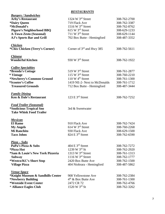# *RESTAURANTS*

| <b>Burgers / Sandwiches</b>            |                                         |              |
|----------------------------------------|-----------------------------------------|--------------|
| <b>Arby's Restaurant</b>               | 1324 W 3rd Street                       | 308-762-2700 |
| <i><b>*Dairy Queen</b></i>             | 719 Flack Ave                           | 308-762-3387 |
| *McDonald's                            | 1516 W $3rd$ Street                     | 308-762-8762 |
| Pigaro's Neighborhood BBQ              | 615 W 3rd Street                        | 308-629-1233 |
| <b>A-Town Zesto (Seasonal)</b>         | 711 W $3rd$ Street                      | 308-629-1144 |
| <b>AJ's Sports Bar and Grill</b>       | 702 Box Butte - Hemingford              | 308-487-3352 |
| <b>Chicken</b>                         |                                         |              |
| *Chix Chicken (Terry's Corner)         | Corner of $3rd$ and Hwy 385             | 308-762-5611 |
| <b>Chinese</b>                         |                                         |              |
| <b>Wonderful Kitchen</b>               | 930 W 3rd Street                        | 308-762-1922 |
| <b>Coffee Specialties</b>              |                                         |              |
| *Brenda's Cottage                      | 519 W $3rd$ Street                      | 308-761-2877 |
| * Vintage                              | 115 W $3rd$ Street                      | 308-760-2210 |
| *Newberry's Common Ground              | 110 W 4 <sup>th</sup> Street            | 308-761-1300 |
| *Scooter's Coffee                      | 1419 NE-2- Next to McDonalds            | 308-761-1712 |
| <b>Treasured Grounds</b>               | 712 Box Butte - Hemingford              | 308-487-3444 |
| <b>Family Dining</b>                   |                                         |              |
| Ken & Dale's Restaurant                | 123 E $3rd$ Street                      | 308-762-7252 |
| <b>Food Trailer (Seasonal)</b>         |                                         |              |
| <i><b>*Snolicious Tropical Sno</b></i> | 3rd & Sweetwater                        |              |
| <b>Take Whisk Food Trailer</b>         |                                         |              |
| <b>Mexican</b>                         |                                         |              |
| <b>El Ramo</b>                         | 910 Flack Ave                           | 308-762-7424 |
| <b>My Angels</b>                       | $614 \text{ W } 3^{\text{rd}}$ Street   | 308-760-2268 |
| <b>Mi Ranchito</b>                     | 930 Flack Ave                           | 308-629-1500 |
| <b>Taco Johns</b>                      | 824 E 3rd Street                        | 308-762-6590 |
| <u> Pizza – Subs</u>                   |                                         |              |
| PaPa's Pizza & Subs                    | $404 \mathrm{E}$ 3 <sup>rd</sup> Street | 308-762-7272 |
| *Pizza Hut                             | 1239 W $3^{rd}$ St                      | 308-762-2920 |
| *Sam & Louie's New York Pizzeria       | 1313 W 3rd Street                       | 308-761-1313 |
| <b>Subway</b>                          | 1116 W 3rd Street                       | 308-762-1777 |
| *Westco/KC's Short Stop                | 2420 Box Butte Ave                      | 308-762-1500 |
| <b>Village Pizza</b>                   | 404 Niobrara - Hemingford               | 308-487-5862 |
| <b>Venue Space</b>                     |                                         |              |
| *Knight Museum & Sandhills Center      | 908 Yellowstone Ave                     | 308-762-2384 |
| *Newberry Building                     | $4th$ & Box Butte Ave                   | 308-761-1300 |
| *Westside Event Center                 | 2472 CR 72                              | 308-762-4766 |
| * Alliance Eagles Club                 | 1520 W $3^{rd}$ St                      | 308-762-3262 |
|                                        |                                         |              |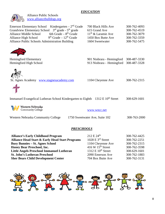# *EDUCATION*

| <b>Alliance Public Schools</b><br>www.alliancebulldogs.org                                                                                                                                                                                                                                                        |                                                                                                                                          |                                                                                              |
|-------------------------------------------------------------------------------------------------------------------------------------------------------------------------------------------------------------------------------------------------------------------------------------------------------------------|------------------------------------------------------------------------------------------------------------------------------------------|----------------------------------------------------------------------------------------------|
| Emerson Elementary School Kindergarten - $2nd$ Grade<br>Grandview Elementary School 3 <sup>rd</sup> grade - 5 <sup>th</sup> grade<br>6th Grade $-8$ <sup>th</sup> Grade<br><b>Alliance Middle School</b><br>$9th$ Grade - $12th$ Grade<br>Alliance High School<br>Alliance Public Schools Administration Building | 700 Black Hills Ave<br>615 Grand Ave<br>$11th$ & Laramie Ave<br>1450 Box Butte Ave<br>1604 Sweetwater                                    | 308-762-4093<br>308-762-4519<br>308-762-3079<br>308-762-3359<br>308-762-5475                 |
| <b>Hemingford Elementary</b><br>Hemingford High School                                                                                                                                                                                                                                                            | 901 Niobrara - Hemingford<br>913 Niobrara - Hemingford                                                                                   | 308-487-3330<br>308-487-3328                                                                 |
| St. Agnes Academy www.stagnesacademy.com                                                                                                                                                                                                                                                                          | 1104 Cheyenne Ave                                                                                                                        | 308-762-2315                                                                                 |
| Immanuel Evangelical Lutheran School Kindergarten to Eighth 1312 E 10 <sup>th</sup> Street                                                                                                                                                                                                                        |                                                                                                                                          | 308-629-1601                                                                                 |
| Western Nebraska<br>Community College                                                                                                                                                                                                                                                                             | www.wncc.net                                                                                                                             |                                                                                              |
| Western Nebraska Community College                                                                                                                                                                                                                                                                                | 1750 Sweetwater Ave, Suite 102                                                                                                           | 308-763-2000                                                                                 |
| PRESCHOOLS                                                                                                                                                                                                                                                                                                        |                                                                                                                                          |                                                                                              |
| <b>Alliance's Early Childhood Program</b><br><b>Alliance Head Start &amp; Early Head Start Programs</b><br><b>Busy Bunnies - St. Agnes School</b><br><b>Honey Bear Preschool, Inc.</b><br><b>Little Angels Preschool Immanuel Lutheran</b><br><b>St. John's Lutheran Preschool</b>                                | $212 \to 24^{\text{th}}$<br>1028 E 3rd Street<br>1104 Cheyenne Ave<br>416 W $15th$ Street<br>1312 E $10^{th}$ Street<br>2090 Emerson Ave | 308-762-4425<br>308-762-2251<br>308-762-2315<br>308-762-3598<br>308-629-1601<br>308-762-1883 |
| <b>Sher Bears Child Development Center</b>                                                                                                                                                                                                                                                                        | 704 Box Butte Ave                                                                                                                        | 308-762-3131                                                                                 |

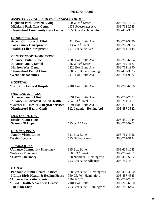# *HEALTH CARE*

# *ASSISTED LIVING FACILITIES/NURSING HOMES*

| <b>Highland Park Assisted Living</b>           | $150 \text{ W } 24^{\text{th}}$ Street       | 308-762-1615 |
|------------------------------------------------|----------------------------------------------|--------------|
| <b>Highland Park Care Center</b>               | 1633 Sweetwater Ave                          | 308-762-2525 |
| <b>Hemingford Community Care Center</b>        | 605 Donald - Hemingford                      | 308-487-3301 |
| <b>CHIROPRACTORS</b>                           |                                              |              |
| <b>Accent Chiropractic Clinic</b>              | 2410 Box Butte Ave                           | 308-762-3090 |
| <b>Foos Family Chiropractic</b>                | 113 W $3rd$ Street                           | 308-762-9333 |
| <b>Health 4 Life Chiropractic</b>              | 221 Box Butte Ave                            | 308-761-1145 |
| <u>DENTISTS/ ORTHODONTIST</u>                  |                                              |              |
| <b>Alliance Dental Clinic</b>                  | 2308 Box Butte Ave                           | 308-762-6354 |
| <b>Alliance Family Dental</b>                  | $916 \text{ W } 10^{\text{th}}$ Street       | 308-762-4187 |
| <b>Horizon West Dental</b>                     | 2220 Box Butte Ave                           | 308-762-1990 |
| <b>Hemingford Dental Clinic</b>                | 720 Box Butte - Hemingford                   | 308-487-3333 |
| *Webb Orthodontics                             | 2416 Box Butte Ave                           | 308-761-9322 |
| <b>HOSPITAL</b>                                |                                              |              |
| <b>*Box Butte General Hospital</b>             | 2101 Box Butte Ave                           | 308-762-6660 |
| <b>MEDICAL OFFICES</b>                         |                                              |              |
| <b>Alliance Family Clinic</b>                  | 2091 Box Butte Ave                           | 308-762-2534 |
| <b>Alliance Children's &amp; Allied Health</b> | $204 \mathrm{E}$ 3 <sup>rd</sup> Street      | 308-761-1151 |
| <i>*Greater NE Medical/Surgical Services</i>   | 2091 Box Butte Ave                           | 308-762-7244 |
| <b>Hemingford Health Clinic</b>                | 812 Laramie - Hemingford                     | 308-487-3322 |
| <u>MENTAL HEALTH</u>                           |                                              |              |
| <b>Inspirit Counseling</b>                     |                                              | 308-430-1944 |
| <b>Seasons Of Hope</b>                         | 115 W $5th$ Ave                              | 308-763-9901 |
| <b>OPTOMITRISTS</b>                            |                                              |              |
| <b>Family Vision Clinic</b>                    | 321 Box Butte                                | 308-762-4056 |
| *Webb Eyecare                                  | 515 Niobrara Ave                             | 308-762-3124 |
| <b>PHARMACIES</b>                              |                                              |              |
| *Alliance Community Pharmacy                   | 315 Box Butte                                | 308-629-1045 |
| *Safeway Pharmacy                              | $500 \mathrm{E}$ 3 <sup>rd</sup> Street      | 308-762-4661 |
| * Dave's Pharmacy                              | 508 Niobrara - Hemingford                    | 308-487-5212 |
|                                                | 223 Box Butte-Alliance                       | 308-762-4811 |
| <b>OTHER</b>                                   |                                              |              |
| <b>Panhandle Public Health District</b>        | 808 Box Butte, - Hemingford                  | 308-487-3600 |
| 3 Little Birds Health & Healing House          | 960 CR 70 - Hemingford                       | 308-487-4325 |
| *Alliance Recreation Center                    | $1202 \text{ E } 10^{\text{th}} \text{ St.}$ | 308-762-2201 |
| *BBGH Health & Wellness Center                 | 2101 Box Butte                               | 308-762-6660 |
| <b>The Body Shop</b>                           | 703 Box Butte - Hemingford                   | 308-760-6492 |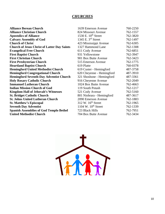# *CHURCHES*

| <b>Alliance Berean Church</b>                      | 1639 Emerson Avenue             | 760-2250 |
|----------------------------------------------------|---------------------------------|----------|
| <b>Alliance Christian Church</b>                   | 824 Missouri Avenue             | 762-1557 |
| <b>Apostolics of Alliance</b>                      | 1530 E. 10 <sup>th</sup> Street | 762-3820 |
| <b>Calvary Assembly of God</b>                     | 1345 E. $3rd$ Street            | 762-1497 |
| <b>Church of Christ</b>                            | 423 Mississippi Avenue          | 762-6305 |
| <b>Church of Jesus Christ of Latter Day Saints</b> | 1327 Hammond Lane               | 762-1308 |
| <b>Evangelical Free Church</b>                     | 611 Cody Avenue                 | 762-6851 |
| <b>First Baptist Church</b>                        | 931 Yellowstone                 | 762-3947 |
| <b>First Christian Church</b>                      | 901 Box Butte Avenue            | 762-3423 |
| <b>First Presbyterian Church</b>                   | 515 Emerson Avenue              | 762-1775 |
| <b>Heartland Baptist Church</b>                    | 619 Platte                      | 760-0378 |
| <b>Hemingford United Methodist Church</b>          | 619 Custer - Hemingford         | 487-3758 |
| <b>Hemingford Congregational Church</b>            | 620 Cheyenne - Hemingford       | 487-3910 |
| <b>Hemingford Seventh-Day Adventist Church</b>     | 321 Shoshone - Hemingford       | 487-3361 |
| <b>Holy Rosary Catholic Church</b>                 | 916 Cheyenne Avenue             | 762-2049 |
| <b>Immanuel Lutheran Church</b>                    | 1024 Box Butte Avenue           | 762-4663 |
| <b>Indian Mission Church of God</b>                | 119 South Potash                | 762-1217 |
| <b>Kingdom Hall of Jehovah's Witnesses</b>         | 521 Cody Avenue                 | 762-5160 |
| <b>St. Bridget Catholic Church</b>                 | 801 Niobrara - Hemingford       | 487-3617 |
| <b>St. Johns United Lutheran Church</b>            | 2090 Emerson Avenue             | 762-1883 |
| <b>St. Matthew's Episcopal</b>                     | $312$ W. $16th$ Street          | 762-1965 |
| <b>Seventh Day Adventist</b>                       | 1104 W. $10^{th}$ Street        | 762-1339 |
| <b>Spanish Assemblies of God Templo Bethel</b>     | 723 Black Hills                 | 762-7951 |
| <b>United Methodist Church</b>                     | 704 Box Butte Avenue            | 762-3434 |
|                                                    |                                 |          |

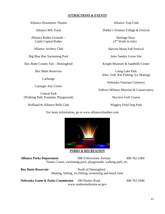# *ATTRACTIONS & EVENTS*

Alliance Downtown Theatre

Alliance MX Track

Alliance Rodeo Grounds – Cattle Capital Rodeo

Alliance Archery Club

Big Blue Bay Swimming Pool

Box Butte County Fair - Hemingford

Box Butte Reservoir

Carhenge

Carnegie Arts Center

Central Park (Walking Path, Fountain, Playground)

Hoffland & Alliance Rifle Club

Alliance Trap Club

Dobby's Frontier Village & Festival

Heritage Days (3rd Week in July)

Harvest Moon Fall Festival

Jules Sandoz Grave Site

Knight Museum & Sandhills Center

Laing Lake Park (Disc Golf, Kid Fishing, Ice Skating)

Nebraska Veterans Cemetery

Sallows Military Museum & Conservatory

Skyview Golf Course

Wiggley Field Dog Park

For more information, go to www.alliancechamber.com



*PARKS & RECREATION*

**Alliance Parks Department** 908 Yellowstone Avenue 308-762-2384 Tennis Courts, swimming pool, playgrounds, walking path, etc.

**Box Butte Reservoir** North of Hemingford Boating, fishing, ice fishing, swimming and beach time

**Nebraska Game & Parks Commission** 299 Husker Road 308-763-2940 www.outdoornebraska.ne.gov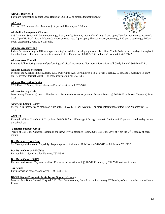# **ABATE District 13**

For more information contact Steve Benzel at 762-8852 or email sdbenzel@bbc.net

#### **Al-Anon**

Meets at 623 Laramie Ave. Monday @ 7 pm and Thursday at 9:30 am.

#### **Alcoholics Anonymous Chapter**



623 Laramie. Sunday-10:30 am open mtg., 7 pm, men's; Monday–noon, closed mtg., 7 pm, open; Tuesday-noon closed women's mtg., 7 pm Big Book Study; Wednesday-noon, closed mtg., 7 pm, open; Thursday-noon, open mtg., 5:30 pm, closed mtg.; Friday – noon, closed mtg., 7pm, 12 x 12 study.

#### **Alliance Archery Club**

Indoor & outdoor ranges. Offers league shooting for adults Thursday nights and also offers Youth Archery on Tuesdays throughout the school year. For more information contact: Rod Planansky 308-487-3565 or Travis Turman 402-429-2442

#### **Alliance Arts Council**

Presents Fall to Spring Season of performing and visual arts events. For more information, call Cindy Randall 308-762-2244.

#### **Alliance Library Storytime**

Meets at the Alliance Public Library, 1750 Sweetwater Ave. For children 3 to 6. Every Tuesday, 10 am, and Thursday's @ 1:00 pm; September through April. For more information call 762-1387.

#### **Alliance Recreation Center**

1202 East  $10^{th}$  Street, Fitness classes – For information call  $762-2201$ .

#### **Alliance Rotary Club**

Meets every Tuesday @ noon – Newberry's. For more information, contact Darwin French @ 760-1806 or Dustin Chester @ 763- 1105.

#### **American Legion Post #7**

Meets 1<sup>st</sup> Tuesday of each month @ 7 pm at the VFW, 424 Flack Avenue. For more information contact Brad Moomey @ 762-3107.

# **AWANA**

Evangelical Free Church, 611 Cody Ave., 762-6851 for children age 3 through grade 6. Begins at 6:15 pm each Wednesday during the school year.

#### **Bariatric Support Group**

Meets at Box Butte General Hospital in the Newberry Conference Room, 2201 Box Butte Ave. at 7 pm the 2<sup>nd</sup> Tuesday of each month

# **Box Butte 4-H Trap Club**

1st Monday of the month May-July. Trap range east of alliance. Rob Hood – 762-5619 or Ed Jensen 762-2732

#### **Box Butte County 4-H Clubs**

For youth  $5 - 18$ , call Ashley Fenning, 762-5616.

# **Box Butte County RSVP**

For men and women 55 years or older. For more information call @ 762-1293 or stop by 212 Yellowstone Avenue.

#### **Boy Scouts**

For information contact John Zerck – 308-641-6120

#### **BBGH Stroke/Traumatic Brain Injury Support Group –**

Meets at Box Butte General Hospital, 2101 Box Butte Avenue, from 3 pm to 4 pm, every 2<sup>nd</sup> Tuesday of each month at the Alliance Room.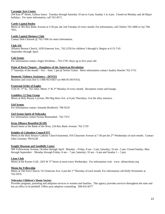# **Carnegie Arts Center**

204 East 4th Street, Gallery hours: Tuesday through Saturday 10 am to 4 pm; Sunday 1 to 4 pm. Closed on Monday and all Major holidays. For more information, call 762-4571.

# **Cattle Capital Rodeo**

Meets at 305 Box Butte Avenue at 5:30 pm, the 2nd Tuesday of every month. For information, call Chelsie 762-1800 or Jay 760- 7851.

# **Cattle Capital Shriners Club**

Contact Bob Chinook @ 762-7496 for more information.

# **Club 316**

 Alliance Berean Church, 1639 Emerson Ave., 762-2250 for children 3 through 6. Begins at 6:15-7:45 September through April.

# **Cub Scouts**

For information contact Angie Wickham – 763-1705. Boys up to five years old

# **Point of Rock Chapter - Daughters of the American Revolution**

1st Saturday of the month – Oct – June, 1 pm @ Senior Center. More information contact Audrey Hoerler 762-1751

# **Domestic Violence Assistance – DOVES**

Business and crisis line is 1-866-953-6837 (or 866-95-DOVES).

# **Fraternal Order of Eagles**

1516 W. 3<sup>rd</sup> St., 762-3262, Meets 1<sup>st</sup> & 3<sup>rd</sup> Monday of every month. Reception venue and lounge.

# **Gamblers 12 Step Group**

Meets at Holy Rosary Lyceum, 903 Big Horn Ave. at 8 pm Thursdays. Use the alley entrance.

#### **Girl Scouts**

For information contact Amanda Broderick. 760-9218

# **Girl Scouts Spirit of Nebraska**

For information contact Krista Blumanthal. 762-7472

# **Keep Alliance Beautiful (KAB)**

Board meets at the Bank of the West, 224 Box Butte Avenue. 762-1729

# **Knights of Columbus Council 975**

Meets in the Holy Rosary Catholic Church basement, 916 Cheyenne Avenue at 7:30 pm the 2nd Wednesday of each month. Contact John Courtney 760-6238.

# **Knight Museum and Sandhills Center**

908 Yellowstone Avenue, October through April: Monday – Friday, 8 am - 5 pm, Saturday, 10 am - 5 pm. Closed Sunday. May through September: Monday through Friday,  $8 \text{ am} - 7 \text{ pm}$ , Saturday,  $10 \text{ am} - 6 \text{ pm}$  and Sunday  $1 - 5 \text{ pm}$ .

# **Lions Club**

Meets at the Korner Grill, 1203 W 3rd Street at noon every Wednesday. For information visit: www. alliancelions.org

# **Moms for Fellowship**

Meets at The First Church, 515 Emerson Ave. 6 pm the 1<sup>st</sup> Thursday of each month. For information call Holly Westemier at 762-5076.

# **Nebraska Children's Home Society**

Provides pregnant, parenting and adoption services to women and families. This agency provides services throughout the state and has an office in Scottsbluff. Offers post adoptive counseling. 308-632-8377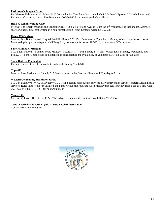# **Parkinson's Support Group**

For Western Nebraska Area. Meets @ 10:30 am the first Tuesday of each month @ St Matthew's Episcopal Church, lower level. For more information, contact Dee Brauninger 308-763-1254 or brauningerdb@gmail.com

# **Read-A-Round Writing Club**

Meets at The Knight Museum and Sandhills Center, 908 Yellowstone Ave. at 10 am the 2<sup>nd</sup> Wednesday of each month. Members share original reminiscent writing in a non-formal setting. New members welcome. 762-2384

# **Route 385 Cruisers**

Meets at Box Butte General Hospital Sandhills Room, 2201 Box Butte Ave. at 7 pm the 1<sup>st</sup> Monday of each month (west door). Membership is open to everyone. Call Tony Roby for more information 762-2718; or visit www.385cruisers.com.

# **Sallows Military Museum**

1101 Niobrara Ave. – Summer hours Monday – Saturday, 1 – 4 pm, Sunday 1 – 4 pm. Winter hours Monday, Wednesday and Friday,  $1 - 4$  pm. These hours do not take in to consideration the availability of volunteer staff. 762-2385 or 762-2384

# **Snow Redfern Foundation**

For more information, please contact Sarah Nicholson @ 762-6370

# **Tops #721**

Meets at First Presbyterian Church, 515 Emerson Ave. in the Deacon's Room each Tuesday at 5 p.m.

# **Western Community Health Resources**

619 Box Butte Ave., WIC, CSFP, HIV/AIDS testing, family reproductive services, early intervention services, maternal/child health services, Rural Partnership for Children and Family Advocate Program. Open Monday through Thursday from 8 am to 5 pm. Call 762-3696 or 1-800-717-1231 for an appointment.

# **Young Life**

Meets at 214 West 10<sup>th</sup> St., the 1<sup>st</sup> & 3<sup>rd</sup> Mondays of each month, Contact Russell Saito, 760-1564.

# **Youth Baseball and Softball (Old Timers Baseball Association)**

Contact Jess Clark 760-8062